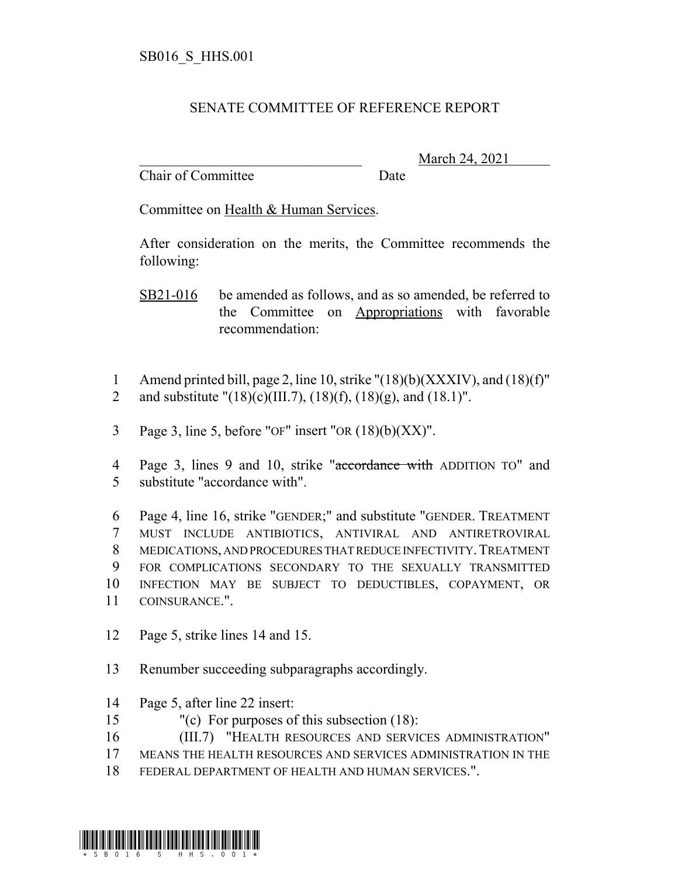## SENATE COMMITTEE OF REFERENCE REPORT

Chair of Committee Date

\_\_\_\_\_\_\_\_\_\_\_\_\_\_\_\_\_\_\_\_\_\_\_\_\_\_\_\_\_\_\_ March 24, 2021

Committee on Health & Human Services.

After consideration on the merits, the Committee recommends the following:

SB21-016 be amended as follows, and as so amended, be referred to the Committee on Appropriations with favorable recommendation:

- 1 Amend printed bill, page 2, line 10, strike "(18)(b)(XXXIV), and (18)(f)" 2 and substitute " $(18)(c)(III.7)$ ,  $(18)(f)$ ,  $(18)(g)$ , and  $(18.1)$ ".
- 3 Page 3, line 5, before "OF" insert "OR  $(18)(b)(XX)$ ".
- 4 Page 3, lines 9 and 10, strike "accordance with ADDITION TO" and 5 substitute "accordance with".

 Page 4, line 16, strike "GENDER;" and substitute "GENDER. TREATMENT MUST INCLUDE ANTIBIOTICS, ANTIVIRAL AND ANTIRETROVIRAL MEDICATIONS, AND PROCEDURES THAT REDUCE INFECTIVITY.TREATMENT FOR COMPLICATIONS SECONDARY TO THE SEXUALLY TRANSMITTED INFECTION MAY BE SUBJECT TO DEDUCTIBLES, COPAYMENT, OR COINSURANCE.".

- 12 Page 5, strike lines 14 and 15.
- 13 Renumber succeeding subparagraphs accordingly.
- 14 Page 5, after line 22 insert:
- 15 "(c) For purposes of this subsection (18):
- 16 (III.7) "HEALTH RESOURCES AND SERVICES ADMINISTRATION"
- 17 MEANS THE HEALTH RESOURCES AND SERVICES ADMINISTRATION IN THE
- 18 FEDERAL DEPARTMENT OF HEALTH AND HUMAN SERVICES.".

\*SB016\_SHHS.0016\_SHHS.0016\_SHHS.0016\_SHHS.0016\_SHHS.0016\_SHHS.0016\_SHHS.0016\_SHH